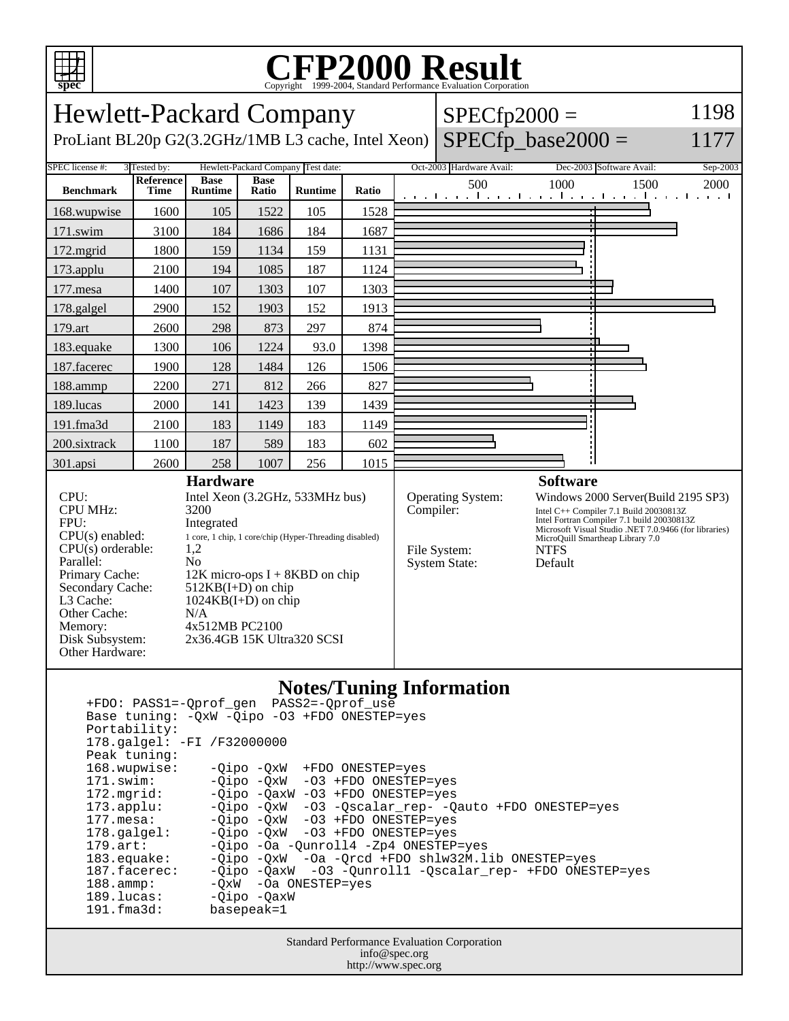

## Copyright ©1999-2004, Standard Performance Evaluation Corporation

Hewlett-Packard Company ProLiant BL20p G2(3.2GHz/1MB L3 cache, Intel Xeon)  $SPECfp2000 =$  $SPECfp\_base2000 =$ 1198 1177 SPEC license #: 3 Tested by: Hewlett-Packard Company Test date: Oct-2003 Hardware Avail: Dec-2003 Software Avail: Sep-2003 **Benchmark Reference Time Base Runtime Base Runtime Ratio Ratio Runtime Ratio Ratio Ratio Reserve** *L* **500 1000 1500 2000** 168.wupwise 1600 105 1522 105 1528 171.swim | 3100 | 184 | 1686 | 184 | 1687 172.mgrid | 1800 | 159 | 1134 | 159 | 1131 173.applu | 2100 | 194 | 1085 | 187 | 1124 177.mesa | 1400 | 107 | 1303 | 107 | 1303 178.galgel | 2900 | 152 | 1903 | 152 | 1913 179.art | 2600 | 298 | 873 | 297 | 874 183.equake 1300 106 1224 93.0 1398 187.facerec | 1900 | 128 | 1484 | 126 | 1506 188.ammp | 2200 | 271 | 812 | 266 | 827 189.lucas | 2000 | 141 | 1423 | 139 | 1439 191.fma3d | 2100 | 183 | 1149 | 183 | 1149 200.sixtrack 1100 187 589 183 602 301.apsi 2600 258 1007 256 1015 **Hardware** CPU: Intel Xeon (3.2GHz, 533MHz bus) CPU MHz: 3200 FPU: Integrated CPU(s) enabled: 1 core, 1 chip, 1 core/chip (Hyper-Threading disabled)<br>CPU(s) orderable: 1,2  $CPU(s)$  orderable: Parallel: No Primary Cache: 12K micro-ops I + 8KBD on chip Secondary Cache: 512KB(I+D) on chip<br>L3 Cache: 1024KB(I+D) on chii  $1024KB(I+D)$  on chip Other Cache: N/A Memory: 4x512MB PC2100 Disk Subsystem: 2x36.4GB 15K Ultra320 SCSI Other Hardware: **Software** Operating System: Windows 2000 Server(Build 2195 SP3) Compiler: Intel C++ Compiler 7.1 Build 20030813Z Intel Fortran Compiler 7.1 build 20030813Z Microsoft Visual Studio .NET 7.0.9466 (for libraries) MicroQuill Smartheap Library 7.0 File System: NTFS System State: Default

## **Notes/Tuning Information**

 +FDO: PASS1=-Qprof\_gen PASS2=-Qprof\_use Base tuning: -QxW -Qipo -O3 +FDO ONESTEP=yes Portability: 178.galgel: -FI /F32000000 Peak tuning: 168.wupwise: -Qipo -QxW +FDO ONESTEP=yes 171.swim: -Qipo -QxW -O3 +FDO ONESTEP=yes 172.mgrid: -Qipo -QaxW -O3 +FDO ONESTEP=yes<br>173.applu: -Qipo -QxW -O3 -Qscalar\_rep- -Q 173.applu: -Qipo -QxW -O3 -Qscalar\_rep- -Qauto +FDO ONESTEP=yes<br>177.mesa: - -Qipo -QxW -O3 +FDO ONESTEP=yes -Qipo -QxW -O3 +FDO ONESTEP=yes 178.galgel: -Qipo -QxW -O3 +FDO ONESTEP=yes 179.art: -Qipo -Oa -Qunroll4 -Zp4 ONESTEP=yes<br>183.equake: -Qipo -QxW -Oa -Orcd +FDO shlw32M.l. 183.equake: -Qipo -QxW -Oa -Qrcd +FDO shlw32M.lib ONESTEP=yes 187.facerec: -Qipo -QaxW -O3 -Qunroll1 -Qscalar\_rep- +FDO ONESTEP=yes 188.ammp: -QxW -Oa ONESTEP=yes 189.lucas: - Qipo - QaxW 191.fma3d: basepeak=1

> Standard Performance Evaluation Corporation info@spec.org http://www.spec.org